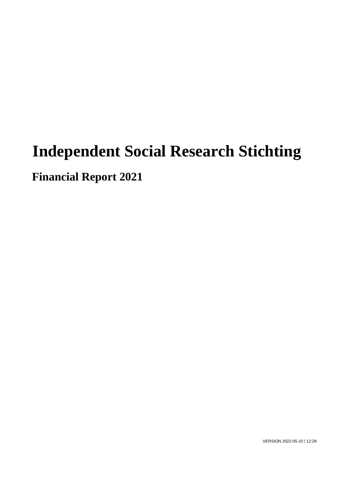# **Independent Social Research Stichting**

**Financial Report 2021**

VERSION 2022-05-10 / 12:28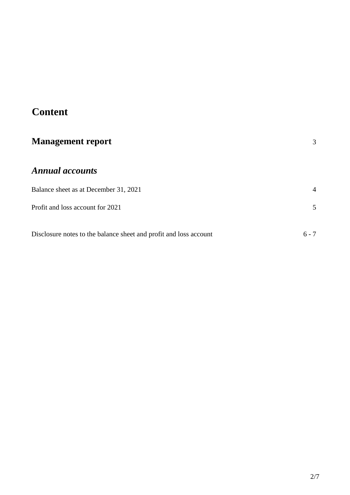# **Content**

| <b>Management report</b>                                          | 3       |
|-------------------------------------------------------------------|---------|
| <b>Annual accounts</b>                                            |         |
| Balance sheet as at December 31, 2021                             | 4       |
| Profit and loss account for 2021                                  | 5       |
| Disclosure notes to the balance sheet and profit and loss account | $6 - 7$ |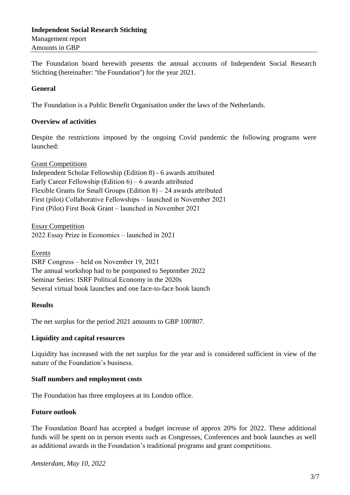# **Independent Social Research Stichting** Management report Amounts in GBP

The Foundation board herewith presents the annual accounts of Independent Social Research Stichting (hereinafter: ''the Foundation'') for the year 2021.

#### **General**

The Foundation is a Public Benefit Organisation under the laws of the Netherlands.

## **Overview of activities**

Despite the restrictions imposed by the ongoing Covid pandemic the following programs were launched:

#### Grant Competitions

Independent Scholar Fellowship (Edition 8) - 6 awards attributed Early Career Fellowship (Edition 6) – 6 awards attributed Flexible Grants for Small Groups (Edition  $8$ ) – 24 awards attributed First (pilot) Collaborative Fellowships – launched in November 2021 First (Pilot) First Book Grant – launched in November 2021

Essay Competition 2022 Essay Prize in Economics – launched in 2021

Events

ISRF Congress – held on November 19, 2021 The annual workshop had to be postponed to September 2022 Seminar Series: ISRF Political Economy in the 2020s Several virtual book launches and one face-to-face book launch

#### **Results**

The net surplus for the period 2021 amounts to GBP 100'807.

#### **Liquidity and capital resources**

Liquidity has increased with the net surplus for the year and is considered sufficient in view of the nature of the Foundation's business.

#### **Staff numbers and employment costs**

The Foundation has three employees at its London office.

#### **Future outlook**

The Foundation Board has accepted a budget increase of approx 20% for 2022. These additional funds will be spent on in person events such as Congresses, Conferences and book launches as well as additional awards in the Foundation's traditional programs and grant competitions.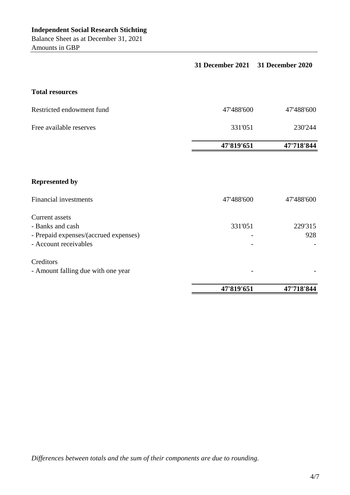Balance Sheet as at December 31, 2021 Amounts in GBP

|                                                                                                             | 31 December 2021 31 December 2020 |                |
|-------------------------------------------------------------------------------------------------------------|-----------------------------------|----------------|
| <b>Total resources</b>                                                                                      |                                   |                |
| Restricted endowment fund                                                                                   | 47'488'600                        | 47'488'600     |
| Free available reserves                                                                                     | 331'051                           | 230'244        |
|                                                                                                             | 47'819'651                        | 47'718'844     |
| <b>Represented by</b>                                                                                       |                                   |                |
| <b>Financial investments</b>                                                                                | 47'488'600                        | 47'488'600     |
| <b>Current</b> assets<br>- Banks and cash<br>- Prepaid expenses/(accrued expenses)<br>- Account receivables | 331'051                           | 229'315<br>928 |
| Creditors<br>- Amount falling due with one year                                                             |                                   |                |
|                                                                                                             | 47'819'651                        | 47'718'844     |

*Differences between totals and the sum of their components are due to rounding.*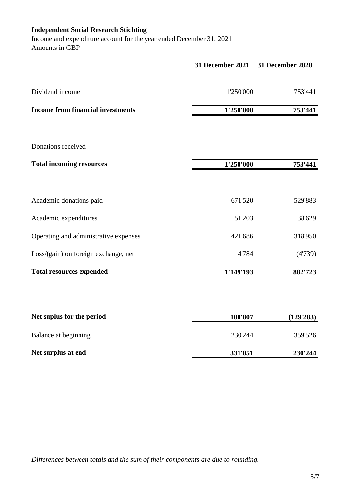# **Independent Social Research Stichting**

Income and expenditure account for the year ended December 31, 2021 Amounts in GBP

|                                          | 31 December 2021 31 December 2020 |           |
|------------------------------------------|-----------------------------------|-----------|
| Dividend income                          | 1'250'000                         | 753'441   |
| <b>Income from financial investments</b> | 1'250'000                         | 753'441   |
|                                          |                                   |           |
| Donations received                       |                                   |           |
| <b>Total incoming resources</b>          | 1'250'000                         | 753'441   |
|                                          |                                   |           |
| Academic donations paid                  | 671'520                           | 529'883   |
| Academic expenditures                    | 51'203                            | 38'629    |
| Operating and administrative expenses    | 421'686                           | 318'950   |
| Loss/(gain) on foreign exchange, net     | 4'784                             | (4'739)   |
| <b>Total resources expended</b>          | 1'149'193                         | 882'723   |
|                                          |                                   |           |
| Net sunlus for the neriod                | 100'907                           | (120'283) |

| Net suplus for the period | 100'807 | (129'283) |
|---------------------------|---------|-----------|
| Balance at beginning      | 230'244 | 359'526   |
| Net surplus at end        | 331'051 | 230'244   |

*Differences between totals and the sum of their components are due to rounding.*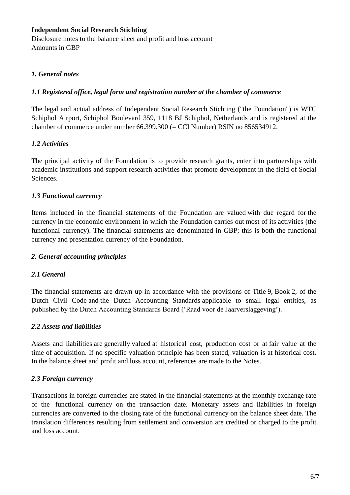# *1. General notes*

# *1.1 Registered office, legal form and registration number at the chamber of commerce*

The legal and actual address of Independent Social Research Stichting ("the Foundation") is WTC Schiphol Airport, Schiphol Boulevard 359, 1118 BJ Schiphol, Netherlands and is registered at the chamber of commerce under number 66.399.300 (= CCI Number) RSIN no 856534912.

# *1.2 Activities*

The principal activity of the Foundation is to provide research grants, enter into partnerships with academic institutions and support research activities that promote development in the field of Social Sciences.

# *1.3 Functional currency*

Items included in the financial statements of the Foundation are valued with due regard for the currency in the economic environment in which the Foundation carries out most of its activities (the functional currency). The financial statements are denominated in GBP; this is both the functional currency and presentation currency of the Foundation.

# *2. General accounting principles*

# *2.1 General*

The financial statements are drawn up in accordance with the provisions of Title 9, Book 2, of the Dutch Civil Code and the Dutch Accounting Standards applicable to small legal entities, as published by the Dutch Accounting Standards Board ('Raad voor de Jaarverslaggeving').

# *2.2 Assets and liabilities*

Assets and liabilities are generally valued at historical cost, production cost or at fair value at the time of acquisition. If no specific valuation principle has been stated, valuation is at historical cost. In the balance sheet and profit and loss account, references are made to the Notes.

# *2.3 Foreign currency*

Transactions in foreign currencies are stated in the financial statements at the monthly exchange rate of the functional currency on the transaction date. Monetary assets and liabilities in foreign currencies are converted to the closing rate of the functional currency on the balance sheet date. The translation differences resulting from settlement and conversion are credited or charged to the profit and loss account.